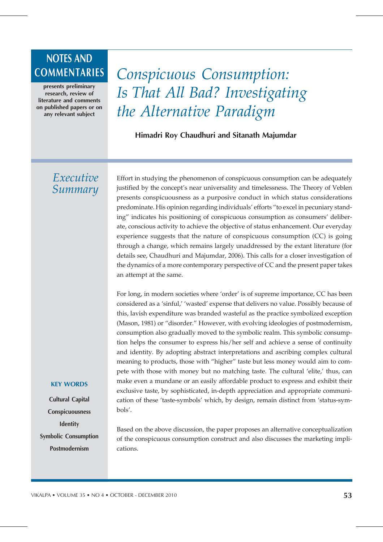# NOTES AND

presents preliminary research, review of literature and comments on published papers or on any relevant subject

## COMMENTARIES *Conspicuous Consumption: Is That All Bad? Investigating the Alternative Paradigm*

Himadri Roy Chaudhuri and Sitanath Majumdar

### *Executive Summary*

Effort in studying the phenomenon of conspicuous consumption can be adequately justified by the concept's near universality and timelessness. The Theory of Veblen presents conspicuousness as a purposive conduct in which status considerations predominate. His opinion regarding individuals' efforts "to excel in pecuniary standing" indicates his positioning of conspicuous consumption as consumers' deliberate, conscious activity to achieve the objective of status enhancement. Our everyday experience suggests that the nature of conspicuous consumption (CC) is going through a change, which remains largely unaddressed by the extant literature (for details see, Chaudhuri and Majumdar, 2006). This calls for a closer investigation of the dynamics of a more contemporary perspective of CC and the present paper takes an attempt at the same.

For long, in modern societies where 'order' is of supreme importance, CC has been considered as a 'sinful,' 'wasted' expense that delivers no value. Possibly because of this, lavish expenditure was branded wasteful as the practice symbolized exception (Mason, 1981) or "disorder." However, with evolving ideologies of postmodernism, consumption also gradually moved to the symbolic realm. This symbolic consumption helps the consumer to express his/her self and achieve a sense of continuity and identity. By adopting abstract interpretations and ascribing complex cultural meaning to products, those with "higher" taste but less money would aim to compete with those with money but no matching taste. The cultural 'elite,' thus, can make even a mundane or an easily affordable product to express and exhibit their exclusive taste, by sophisticated, in-depth appreciation and appropriate communication of these 'taste-symbols' which, by design, remain distinct from 'status-symbols'.

Based on the above discussion, the paper proposes an alternative conceptualization of the conspicuous consumption construct and also discusses the marketing implications.

#### KEY WORDS

Cultural Capital Conspicuousness **Identity** Symbolic Consumption Postmodernism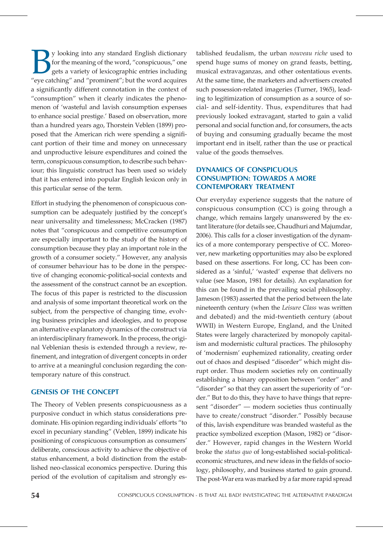By looking into any standard English dictionary<br>for the meaning of the word, "conspicuous," one<br>gets a variety of lexicographic entries including<br>"eve catching" and "prominent": but the word acquires for the meaning of the word, "conspicuous," one gets a variety of lexicographic entries including "eye catching" and "prominent"; but the word acquires a significantly different connotation in the context of "consumption" when it clearly indicates the phenomenon of 'wasteful and lavish consumption expenses to enhance social prestige.' Based on observation, more than a hundred years ago, Thorstein Veblen (1899) proposed that the American rich were spending a significant portion of their time and money on unnecessary and unproductive leisure expenditures and coined the term, conspicuous consumption, to describe such behaviour; this linguistic construct has been used so widely that it has entered into popular English lexicon only in this particular sense of the term.

Effort in studying the phenomenon of conspicuous consumption can be adequately justified by the concept's near universality and timelessness; McCracken (1987) notes that "conspicuous and competitive consumption are especially important to the study of the history of consumption because they play an important role in the growth of a consumer society." However, any analysis of consumer behaviour has to be done in the perspective of changing economic-political-social contexts and the assessment of the construct cannot be an exception. The focus of this paper is restricted to the discussion and analysis of some important theoretical work on the subject, from the perspective of changing time, evolving business principles and ideologies, and to propose an alternative explanatory dynamics of the construct via an interdisciplinary framework. In the process, the original Veblenian thesis is extended through a review, refinement, and integration of divergent concepts in order to arrive at a meaningful conclusion regarding the contemporary nature of this construct.

#### GENESIS OF THE CONCEPT

The Theory of Veblen presents conspicuousness as a purposive conduct in which status considerations predominate. His opinion regarding individuals' efforts "to excel in pecuniary standing" (Veblen, 1899) indicate his positioning of conspicuous consumption as consumers' deliberate, conscious activity to achieve the objective of status enhancement, a bold distinction from the established neo-classical economics perspective. During this period of the evolution of capitalism and strongly es-

tablished feudalism, the urban *nouveau riche* used to spend huge sums of money on grand feasts, betting, musical extravaganzas, and other ostentatious events. At the same time, the marketers and advertisers created such possession-related imageries (Turner, 1965), leading to legitimization of consumption as a source of social- and self-identity. Thus, expenditures that had previously looked extravagant, started to gain a valid personal and social function and, for consumers, the acts of buying and consuming gradually became the most important end in itself, rather than the use or practical value of the goods themselves.

#### DYNAMICS OF CONSPICUOUS CONSUMPTION: TOWARDS A MORE CONTEMPORARY TREATMENT

Our everyday experience suggests that the nature of conspicuous consumption (CC) is going through a change, which remains largely unanswered by the extant literature (for details see, Chaudhuri and Majumdar, 2006). This calls for a closer investigation of the dynamics of a more contemporary perspective of CC. Moreover, new marketing opportunities may also be explored based on these assertions. For long, CC has been considered as a 'sinful,' 'wasted' expense that delivers no value (see Mason, 1981 for details). An explanation for this can be found in the prevailing social philosophy. Jameson (1983) asserted that the period between the late nineteenth century (when the *Leisure Class* was written and debated) and the mid-twentieth century (about WWII) in Western Europe, England, and the United States were largely characterized by monopoly capitalism and modernistic cultural practices. The philosophy of 'modernism' euphemized rationality, creating order out of chaos and despised "disorder" which might disrupt order. Thus modern societies rely on continually establishing a binary opposition between "order" and "disorder" so that they can assert the superiority of "order." But to do this, they have to have things that represent "disorder" — modern societies thus continually have to create/construct "disorder." Possibly because of this, lavish expenditure was branded wasteful as the practice symbolized exception (Mason, 1982) or "disorder." However, rapid changes in the Western World broke the *status quo* of long-established social-politicaleconomic structures, and new ideas in the fields of sociology, philosophy, and business started to gain ground. The post-War era was marked by a far more rapid spread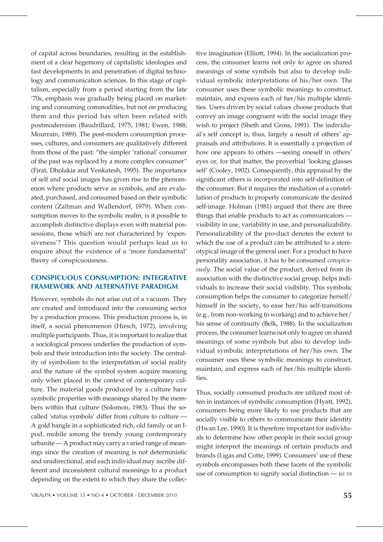of capital across boundaries, resulting in the establishment of a clear hegemony of capitalistic ideologies and fast developments in and penetration of digital technology and communication sciences. In this stage of capitalism, especially from a period starting from the late '70s, emphasis was gradually being placed on marketing and consuming commodities, but not on producing them and this period has often been related with postmodernism (Baudrillard, 1975, 1981; Ewen, 1988; Mourrain, 1989). The post-modern consumption processes, cultures, and consumers are qualitatively different from those of the past: "the simpler 'rational' consumer of the past was replaced by a more complex consumer" (Firat, Dholakia and Venkatesh, 1995). The importance of self and social images has given rise to the phenomenon where products serve as symbols, and are evaluated, purchased, and consumed based on their symbolic content (Zaltman and Wallendorf, 1979). When consumption moves to the symbolic realm, is it possible to accomplish distinctive displays even with material possessions, those which are not characterized by 'expensiveness'? This question would perhaps lead us to enquire about the existence of a 'more fundamental' theory of conspicuousness.

#### CONSPICUOUS CONSUMPTION: INTEGRATIVE FRAMEWORK AND ALTERNATIVE PARADIGM

However, symbols do not arise out of a vacuum. They are created and introduced into the consuming sector by a production process. This production process is, in itself, a social phenomenon (Hirsch, 1972), involving multiple participants. Thus, it is important to realize that a sociological process underlies the production of symbols and their introduction into the society. The centrality of symbolism to the interpretation of social reality and the nature of the symbol system acquire meaning only when placed in the context of contemporary culture. The material goods produced by a culture have symbolic properties with meanings shared by the members within that culture (Solomon, 1983). Thus the socalled 'status symbols' differ from culture to culture — A gold bangle in a sophisticated rich, old family or an Ipod, mobile among the trendy young contemporary urbanite — A product may carry a varied range of meanings since the creation of meaning is not deterministic and unidirectional, and each individual may ascribe different and inconsistent cultural meanings to a product depending on the extent to which they share the collec-

tive imagination (Elliott, 1994). In the socialization process, the consumer learns not only to agree on shared meanings of some symbols but also to develop individual symbolic interpretations of his/her own. The consumer uses these symbolic meanings to construct, maintain, and express each of her/his multiple identities. Users driven by social values choose products that convey an image congruent with the social image they wish to project (Sheth and Gross, 1991). The individual's self concept is, thus, largely a result of others' appraisals and attributions. It is essentially a projection of how one appears to others —seeing oneself in others' eyes or, for that matter, the proverbial 'looking glasses self' (Cooley, 1902). Consequently, this appraisal by the significant others is incorporated into self-definition of the consumer. But it requires the mediation of a constellation of products to properly communicate the desired self-image. Holman (1981) argued that there are three things that enable products to act as communicators visibility in use, variability in use, and personalizability. Personalizability of the pro-duct denotes the extent to which the use of a product can be attributed to a stereotypical image of the general user. For a product to have personality association, it has to be consumed *conspicuously*. The social value of the product, derived from its association with the distinctive social group, helps individuals to increase their social visibility. This symbolic consumption helps the consumer to categorize herself/ himself in the society, to ease her/his self-transitions (e.g., from non-working to working) and to achieve her/ his sense of continuity (Belk, 1988). In the socialization process, the consumer learns not only to agree on shared meanings of some symbols but also to develop individual symbolic interpretations of her/his own. The consumer uses these symbolic meanings to construct, maintain, and express each of her/his multiple identities.

Thus, socially consumed products are utilized most often in instances of symbolic consumption (Hyatt, 1992), consumers being more likely to use products that are socially visible to others to communicate their identity (Hwan Lee, 1990). It is therefore important for individuals to determine how other people in their social group might interpret the meanings of certain products and brands (Ligas and Cotte, 1999). Consumers' use of these symbols encompasses both these facets of the symbolic use of consumption to signify social distinction — *us vs*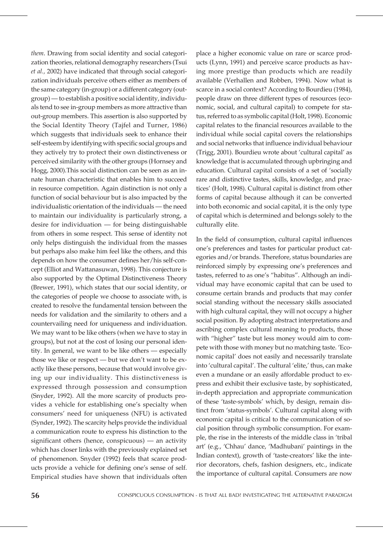*them*. Drawing from social identity and social categorization theories, relational demography researchers (Tsui *et al.,* 2002) have indicated that through social categorization individuals perceive others either as members of the same category (in-group) or a different category (outgroup) — to establish a positive social identity, individuals tend to see in-group members as more attractive than out-group members. This assertion is also supported by the Social Identity Theory (Tajfel and Turner, 1986) which suggests that individuals seek to enhance their self-esteem by identifying with specific social groups and they actively try to protect their own distinctiveness or perceived similarity with the other groups (Hornsey and Hogg, 2000).This social distinction can be seen as an innate human characteristic that enables him to succeed in resource competition. Again distinction is not only a function of social behaviour but is also impacted by the individualistic orientation of the individuals — the need to maintain our individuality is particularly strong, a desire for individuation — for being distinguishable from others in some respect. This sense of identity not only helps distinguish the individual from the masses but perhaps also make him feel like the others, and this depends on how the consumer defines her/his self-concept (Elliot and Wattanasuwan, 1998). This conjecture is also supported by the Optimal Distinctiveness Theory (Brewer, 1991), which states that our social identity, or the categories of people we choose to associate with, is created to resolve the fundamental tension between the needs for validation and the similarity to others and a countervailing need for uniqueness and individuation. We may want to be like others (when we have to stay in groups), but not at the cost of losing our personal identity. In general, we want to be like others — especially those we like or respect — but we don't want to be exactly like these persons, because that would involve giving up our individuality. This distinctiveness is expressed through possession and consumption (Snyder, 1992). All the more scarcity of products provides a vehicle for establishing one's specialty when consumers' need for uniqueness (NFU) is activated (Synder, 1992). The scarcity helps provide the individual a communication route to express his distinction to the significant others (hence, conspicuous) — an activity which has closer links with the previously explained set of phenomenon. Snyder (1992) feels that scarce products provide a vehicle for defining one's sense of self. Empirical studies have shown that individuals often

place a higher economic value on rare or scarce products (Lynn, 1991) and perceive scarce products as having more prestige than products which are readily available (Verhallen and Robben, 1994). Now what is scarce in a social context? According to Bourdieu (1984), people draw on three different types of resources (economic, social, and cultural capital) to compete for status, referred to as symbolic capital (Holt, 1998). Economic capital relates to the financial resources available to the individual while social capital covers the relationships and social networks that influence individual behaviour (Trigg, 2001). Bourdieu wrote about 'cultural capital' as knowledge that is accumulated through upbringing and education. Cultural capital consists of a set of 'socially rare and distinctive tastes, skills, knowledge, and practices' (Holt, 1998). Cultural capital is distinct from other forms of capital because although it can be converted into both economic and social capital, it is the only type of capital which is determined and belongs solely to the culturally elite.

In the field of consumption, cultural capital influences one's preferences and tastes for particular product categories and/or brands. Therefore, status boundaries are reinforced simply by expressing one's preferences and tastes, referred to as one's "habitus". Although an individual may have economic capital that can be used to consume certain brands and products that may confer social standing without the necessary skills associated with high cultural capital, they will not occupy a higher social position. By adopting abstract interpretations and ascribing complex cultural meaning to products, those with "higher" taste but less money would aim to compete with those with money but no matching taste. 'Economic capital' does not easily and necessarily translate into 'cultural capital'. The cultural 'elite,' thus, can make even a mundane or an easily affordable product to express and exhibit their exclusive taste, by sophisticated, in-depth appreciation and appropriate communication of these 'taste-symbols' which, by design, remain distinct from 'status-symbols'. Cultural capital along with economic capital is critical to the communication of social position through symbolic consumption. For example, the rise in the interests of the middle class in 'tribal art' (e.g., 'Chhau' dance, 'Madhubani' paintings in the Indian context), growth of 'taste-creators' like the interior decorators, chefs, fashion designers, etc., indicate the importance of cultural capital. Consumers are now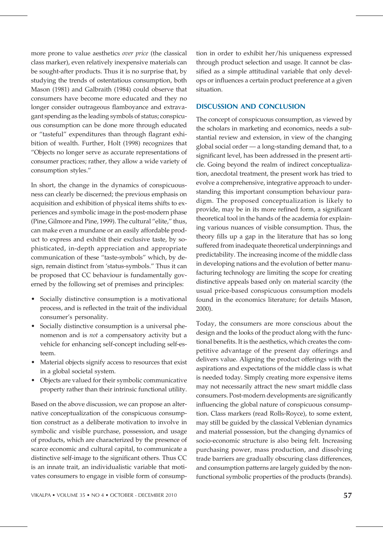more prone to value aesthetics *over price* (the classical class marker), even relatively inexpensive materials can be sought-after products. Thus it is no surprise that, by studying the trends of ostentatious consumption, both Mason (1981) and Galbraith (1984) could observe that consumers have become more educated and they no longer consider outrageous flamboyance and extravagant spending as the leading symbols of status; conspicuous consumption can be done more through educated or "tasteful" expenditures than through flagrant exhibition of wealth. Further, Holt (1998) recognizes that "Objects no longer serve as accurate representations of consumer practices; rather, they allow a wide variety of consumption styles."

In short, the change in the dynamics of conspicuousness can clearly be discerned; the previous emphasis on acquisition and exhibition of physical items shifts to experiences and symbolic image in the post-modern phase (Pine, Gilmore and Pine, 1999). The cultural "elite," thus, can make even a mundane or an easily affordable product to express and exhibit their exclusive taste, by sophisticated, in-depth appreciation and appropriate communication of these "taste-symbols" which, by design, remain distinct from 'status-symbols." Thus it can be proposed that CC behaviour is fundamentally governed by the following set of premises and principles:

- Socially distinctive consumption is a motivational process, and is reflected in the trait of the individual consumer's personality.
- Socially distinctive consumption is a universal phenomenon and is *not* a compensatory activity but a vehicle for enhancing self-concept including self-esteem.
- Material objects signify access to resources that exist in a global societal system.
- Objects are valued for their symbolic communicative property rather than their intrinsic functional utility.

Based on the above discussion, we can propose an alternative conceptualization of the conspicuous consumption construct as a deliberate motivation to involve in symbolic and visible purchase, possession, and usage of products, which are characterized by the presence of scarce economic and cultural capital, to communicate a distinctive self-image to the significant others. Thus CC is an innate trait, an individualistic variable that motivates consumers to engage in visible form of consumption in order to exhibit her/his uniqueness expressed through product selection and usage. It cannot be classified as a simple attitudinal variable that only develops or influences a certain product preference at a given situation.

#### DISCUSSION AND CONCLUSION

The concept of conspicuous consumption, as viewed by the scholars in marketing and economics, needs a substantial review and extension, in view of the changing global social order — a long-standing demand that, to a significant level, has been addressed in the present article. Going beyond the realm of indirect conceptualization, anecdotal treatment, the present work has tried to evolve a comprehensive, integrative approach to understanding this important consumption behaviour paradigm. The proposed conceptualization is likely to provide, may be in its more refined form, a significant theoretical tool in the hands of the academia for explaining various nuances of visible consumption. Thus, the theory fills up a gap in the literature that has so long suffered from inadequate theoretical underpinnings and predictability. The increasing income of the middle class in developing nations and the evolution of better manufacturing technology are limiting the scope for creating distinctive appeals based only on material scarcity (the usual price-based conspicuous consumption models found in the economics literature; for details Mason, 2000).

Today, the consumers are more conscious about the design and the looks of the product along with the functional benefits. It is the aesthetics, which creates the competitive advantage of the present day offerings and delivers value. Aligning the product offerings with the aspirations and expectations of the middle class is what is needed today. Simply creating more expensive items may not necessarily attract the new smart middle class consumers. Post-modern developments are significantly influencing the global nature of conspicuous consumption. Class markers (read Rolls-Royce), to some extent, may still be guided by the classical Veblenian dynamics and material possession, but the changing dynamics of socio-economic structure is also being felt. Increasing purchasing power, mass production, and dissolving trade barriers are gradually obscuring class differences, and consumption patterns are largely guided by the nonfunctional symbolic properties of the products (brands).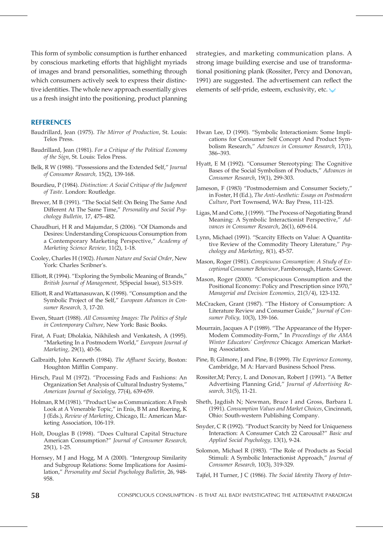This form of symbolic consumption is further enhanced by conscious marketing efforts that highlight myriads of images and brand personalities, something through which consumers actively seek to express their distinctive identities. The whole new approach essentially gives us a fresh insight into the positioning, product planning strategies, and marketing communication plans. A strong image building exercise and use of transformational positioning plank (Rossiter, Percy and Donovan, 1991) are suggested. The advertisement can reflect the elements of self-pride, esteem, exclusivity, etc.

#### **REFERENCES**

- Baudrillard, Jean (1975). *The Mirror of Production*, St. Louis: Telos Press.
- Baudrillard, Jean (1981). *For a Critique of the Political Economy of the Sign*, St. Louis: Telos Press.
- Belk, R W (1988). "Possessions and the Extended Self," *Journal of Consumer Research,* 15(2), 139-168.
- Bourdieu, P (1984). *Distinction: A Social Critique of the Judgment of Taste*. London: Routledge.
- Brewer, M B (1991). "The Social Self: On Being The Same And Different At The Same Time," *Personality and Social Psychology Bulletin,* 17, 475–482.
- Chaudhuri, H R and Majumdar, S (2006). "Of Diamonds and Desires: Understanding Conspicuous Consumption from a Contemporary Marketing Perspective," *Academy of Marketing Science Review,* 11(2), 1-18.
- Cooley, Charles H (1902). *Human Nature and Social Order*, New York: Charles Scribner's.
- Elliott, R (1994). "Exploring the Symbolic Meaning of Brands," *British Journal of Management,* 5(Special Issue), S13-S19.
- Elliott, R and Wattanasuwan, K (1998). "Consumption and the Symbolic Project of the Self," *European Advances in Consumer Research,* 3, 17-20.
- Ewen, Stuart (1988). *All Consuming Images: The Politics of Style in Contemporary Culture*, New York: Basic Books.
- Firat, A Fuat; Dholakia, Nikhilesh and Venkatesh, A (1995). "Marketing In a Postmodern World," *European Journal of Marketing,* 29(1), 40-56.
- Galbraith, John Kenneth (1984). *The Affluent Society*, Boston: Houghton Mifflin Company.
- Hirsch, Paul M (1972). "Processing Fads and Fashions: An Organization Set Analysis of Cultural Industry Systems," *American Journal of Sociology,* 77(4), 639-659.
- Holman, R M (1981). "Product Use as Communication: A Fresh Look at A Venerable Topic," in Enis, B M and Roering, K J (Eds.), *Review of Marketing*, Chicago, IL: American Marketing Association, 106-119.
- Holt, Douglas B (1998). "Does Cultural Capital Structure American Consumption?" *Journal of Consumer Research,* 25(1), 1-25.
- Hornsey, M J and Hogg, M A (2000). "Intergroup Similarity and Subgroup Relations: Some Implications for Assimilation," *Personality and Social Psychology Bulletin,* 26*,* 948- 958.
- Hwan Lee, D (1990). "Symbolic Interactionism: Some Implications for Consumer Self Concept And Product Symbolism Research," *Advances in Consumer Research*, 17(1), 386–393.
- Hyatt, E M (1992). "Consumer Stereotyping: The Cognitive Bases of the Social Symbolism of Products," *Advances in Consumer Research*, 19(1), 299-303.
- Jameson, F (1983) "Postmodernism and Consumer Society," in Foster, H (Ed.), *The Anti-Aesthetic: Essays on Postmodern Culture*, Port Townsend, WA: Bay Press, 111-125.
- Ligas, M and Cotte, J (1999). "The Process of Negotiating Brand Meaning: A Symbolic Interactionist Perspective," *Advances in Consumer Research*, 26(1), 609-614.
- Lynn, Michael (1991). "Scarcity Effects on Value: A Quantitative Review of the Commodity Theory Literature," *Psychology and Marketing*, 8(1), 45-57.
- Mason, Roger (1981). *Conspicuous Consumption: A Study of Exceptional Consumer Behaviour*, Farnborough, Hants: Gower.
- Mason, Roger (2000). "Conspicuous Consumption and the Positional Economy: Policy and Prescription since 1970," *Managerial and Decision Economics,* 21(3/4), 123-132.
- McCracken, Grant (1987). "The History of Consumption: A Literature Review and Consumer Guide," *Journal of Consumer Policy,* 10(3), 139-166.
- Mourrain, Jacques A P (1989). "The Appearance of the Hyper-Modem Commodity-Form," In *Proceedings of the AMA Winter Educators' Conference* Chicago: American Marketing Association.
- Pine, B; Gilmore, J and Pine, B (1999). *The Experience Economy*, Cambridge, M A: Harvard Business School Press.
- Rossiter,M; Percy, L and Donovan, Robert J (1991). "A Better Advertising Planning Grid," *Journal of Advertising Research,* 31(5), 11-21.
- Sheth, Jagdish N; Newman, Bruce I and Gross, Barbara L (1991). *Consumption Values and Market Choices*, Cincinnati, Ohio: South-western Publishing Company.
- Snyder, C R (1992). "Product Scarcity by Need for Uniqueness Interaction: A Consumer Catch 22 Carousal?" *Basic and Applied Social Psychology,* 13(1), 9-24.
- Solomon, Michael R (1983). "The Role of Products as Social Stimuli: A Symbolic Interactionist Approach," *Journal of Consumer Research,* 10(3), 319-329.
- Tajfel, H Turner, J C (1986). *The Social Identity Theory of Inter-*